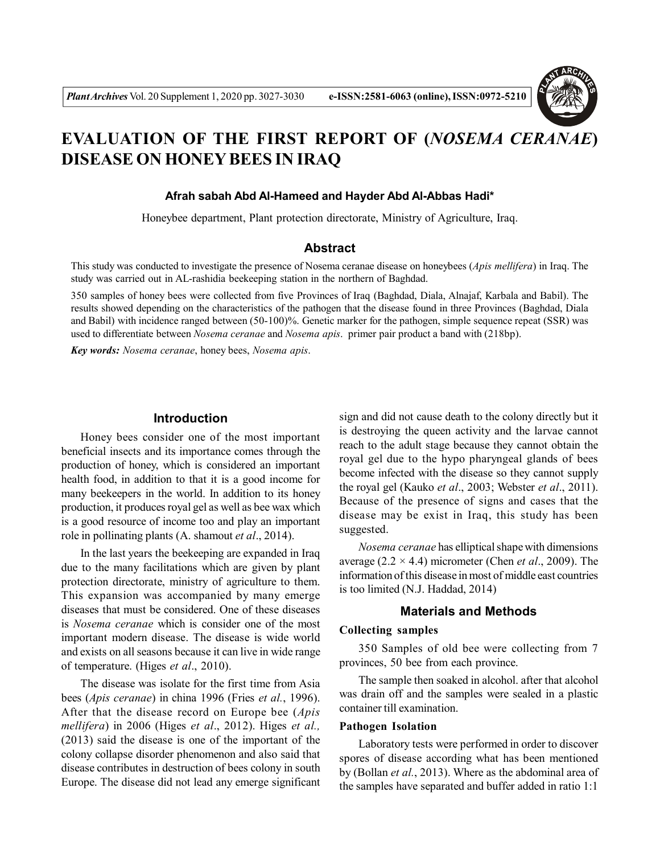

# **EVALUATION OF THE FIRST REPORT OF (***NOSEMA CERANAE***) DISEASE ON HONEY BEES IN IRAQ**

#### **Afrah sabah Abd Al-Hameed and Hayder Abd Al-Abbas Hadi\***

Honeybee department, Plant protection directorate, Ministry of Agriculture, Iraq.

#### **Abstract**

This study was conducted to investigate the presence of Nosema ceranae disease on honeybees (*Apis mellifera*) in Iraq. The study was carried out in AL-rashidia beekeeping station in the northern of Baghdad.

350 samples of honey bees were collected from five Provinces of Iraq (Baghdad, Diala, Alnajaf, Karbala and Babil). The results showed depending on the characteristics of the pathogen that the disease found in three Provinces (Baghdad, Diala and Babil) with incidence ranged between (50-100)%. Genetic marker for the pathogen, simple sequence repeat (SSR) was used to differentiate between *Nosema ceranae* and *Nosema apis*. primer pair product a band with (218bp).

*Key words: Nosema ceranae*, honey bees, *Nosema apis*.

### **Introduction**

Honey bees consider one of the most important beneficial insects and its importance comes through the production of honey, which is considered an important health food, in addition to that it is a good income for many beekeepers in the world. In addition to its honey production, it produces royal gel as well as bee wax which is a good resource of income too and play an important role in pollinating plants (A. shamout *et al*., 2014).

In the last years the beekeeping are expanded in Iraq due to the many facilitations which are given by plant protection directorate, ministry of agriculture to them. This expansion was accompanied by many emerge diseases that must be considered. One of these diseases is *Nosema ceranae* which is consider one of the most important modern disease. The disease is wide world and exists on all seasons because it can live in wide range of temperature. (Higes *et al*., 2010).

The disease was isolate for the first time from Asia bees (*Apis ceranae*) in china 1996 (Fries *et al.*, 1996). After that the disease record on Europe bee (*Apis mellifera*) in 2006 (Higes *et al*., 2012). Higes *et al.,* (2013) said the disease is one of the important of the colony collapse disorder phenomenon and also said that disease contributes in destruction of bees colony in south Europe. The disease did not lead any emerge significant

sign and did not cause death to the colony directly but it is destroying the queen activity and the larvae cannot reach to the adult stage because they cannot obtain the royal gel due to the hypo pharyngeal glands of bees become infected with the disease so they cannot supply the royal gel (Kauko *et al*., 2003; Webster *et al*., 2011). Because of the presence of signs and cases that the disease may be exist in Iraq, this study has been suggested.

*Nosema ceranae* has elliptical shape with dimensions average (2.2 × 4.4) micrometer (Chen *et al*., 2009). The information of this disease in most of middle east countries is too limited (N.J. Haddad, 2014)

### **Materials and Methods**

#### **Collecting samples**

350 Samples of old bee were collecting from 7 provinces, 50 bee from each province.

The sample then soaked in alcohol. after that alcohol was drain off and the samples were sealed in a plastic container till examination.

#### **Pathogen Isolation**

Laboratory tests were performed in order to discover spores of disease according what has been mentioned by (Bollan *et al.*, 2013). Where as the abdominal area of the samples have separated and buffer added in ratio 1:1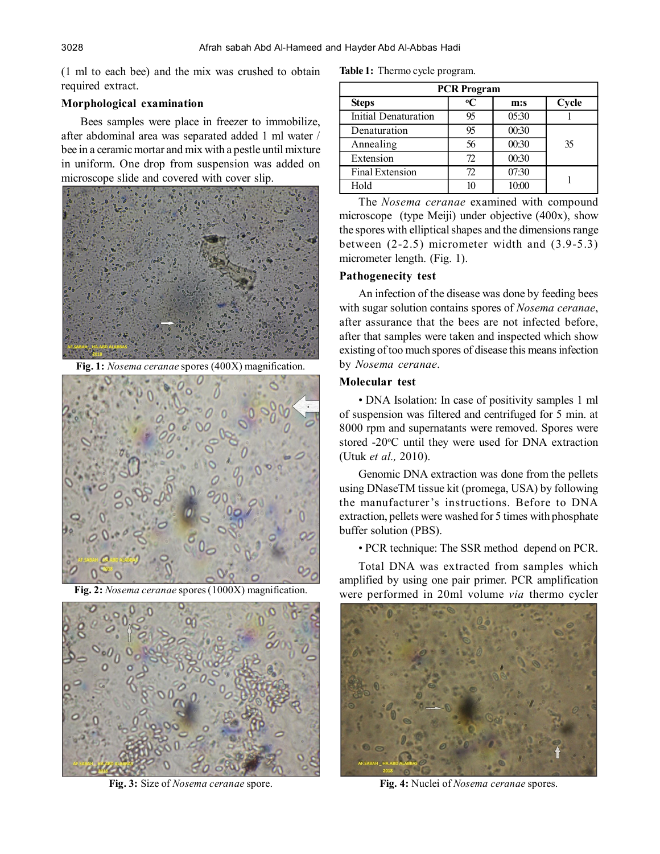(1 ml to each bee) and the mix was crushed to obtain required extract.

# **Morphological examination**

Bees samples were place in freezer to immobilize, after abdominal area was separated added 1 ml water / bee in a ceramic mortar and mix with a pestle until mixture in uniform. One drop from suspension was added on microscope slide and covered with cover slip.



**Fig. 1:** *Nosema ceranae* spores (400X) magnification.





**Fig. 3:** Size of *Nosema ceranae* spore.

| <b>PCR Program</b>          |    |       |       |  |
|-----------------------------|----|-------|-------|--|
| <b>Steps</b>                | °C | m:s   | Cycle |  |
| <b>Initial Denaturation</b> | 95 | 05:30 |       |  |
| Denaturation                | 95 | 00:30 |       |  |
| Annealing                   | 56 | 00:30 | 35    |  |
| Extension                   | 72 | 00:30 |       |  |
| <b>Final Extension</b>      | 72 | 07:30 |       |  |
| Hold                        | 10 | 10:00 |       |  |

The *Nosema ceranae* examined with compound microscope (type Meiji) under objective (400x), show the spores with elliptical shapes and the dimensions range between (2-2.5) micrometer width and (3.9-5.3) micrometer length. (Fig. 1).

# **Pathogenecity test**

An infection of the disease was done by feeding bees with sugar solution contains spores of *Nosema ceranae*, after assurance that the bees are not infected before, after that samples were taken and inspected which show existing of too much spores of disease this means infection by *Nosema ceranae*.

# **Molecular test**

• DNA Isolation: In case of positivity samples 1 ml of suspension was filtered and centrifuged for 5 min. at 8000 rpm and supernatants were removed. Spores were stored -20°C until they were used for DNA extraction (Utuk *et al.,* 2010).

Genomic DNA extraction was done from the pellets using DNaseTM tissue kit (promega, USA) by following the manufacturer's instructions. Before to DNA extraction, pellets were washed for 5 times with phosphate buffer solution (PBS).

• PCR technique: The SSR method depend on PCR.

Total DNA was extracted from samples which amplified by using one pair primer. PCR amplification Fig. 2: *Nosema ceranae* spores (1000X) magnification. were performed in 20ml volume *via* thermo cycler



**Fig. 4:** Nuclei of *Nosema ceranae* spores.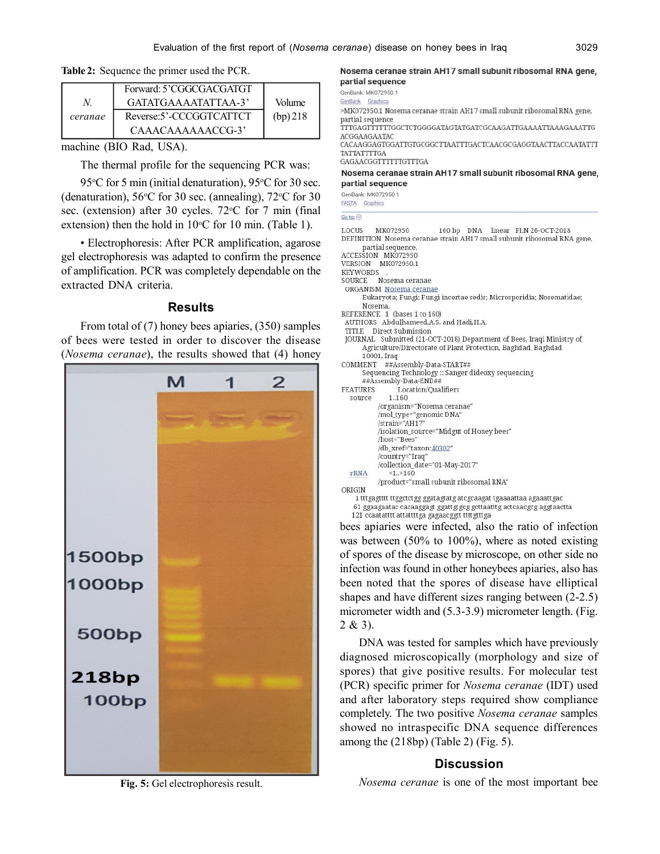**Table 2:** Sequence the primer used the PCR.

|         | Forward: 5'CGGCGACGATGT |            |
|---------|-------------------------|------------|
|         | GATATGAAAATATTAA-3'     | Volume     |
| ceranae | Reverse:5'-CCCGGTCATTCT | $(bp)$ 218 |
|         | CAAACAAAAAACCG-3        |            |

machine (BIO Rad, USA).

The thermal profile for the sequencing PCR was:

95 $\degree$ C for 5 min (initial denaturation), 95 $\degree$ C for 30 sec. (denaturation),  $56^{\circ}$ C for 30 sec. (annealing),  $72^{\circ}$ C for 30 sec. (extension) after 30 cycles.  $72^{\circ}$ C for 7 min (final) extension) then the hold in  $10^{\circ}$ C for 10 min. (Table 1).

• Electrophoresis: After PCR amplification, agarose gel electrophoresis was adapted to confirm the presence of amplification. PCR was completely dependable on the extracted DNA criteria.

#### **Results**

From total of (7) honey bees apiaries, (350) samples of bees were tested in order to discover the disease (*Nosema ceranae*), the results showed that (4) honey



Nosema ceranae strain AH17 small subunit ribosomal RNA gene, partial sequence

GenBank: MK072950.1 GenBank Graphics

>MK072950.1 Nosema ceranae strain AH17 small subunit ribosomal RNA gene, partial sequence

TTTGAGTTTTTTGGCTCTGGGGATAGTATGATCGCAAGATTGAAAATTAAAGAAATTG ACGGAAGAATAC CACAAGGAGTGGATTGTGCGGCTTAATTTGACTCAACGCGAGGTAACTTACCAATATTT

**TATTATTTTGA** GAGAACGGTTTTTTGTTTGA

#### Nosema ceranae strain AH17 small subunit ribosomal RNA gene, partial sequence

160 bp DNA linear PLN 26-OCT-2018

GenBank: MK072950.1

FASTA Graphics

| Go to: $ v $ |          |
|--------------|----------|
| <b>LOCUS</b> | MK072950 |

|                 | DEFINITION  Nosema ceranae strain AH17 small subunit ribosomal RNA gene,      |
|-----------------|-------------------------------------------------------------------------------|
|                 | partial sequence.                                                             |
|                 | ACCESSION MK072950                                                            |
|                 | VERSION MK072950.1                                                            |
| <b>KEYWORDS</b> |                                                                               |
| SOURCE          | Nosema ceranae                                                                |
|                 | ORGANISM Nosema ceranae                                                       |
|                 | Eukaryota; Fungi; Fungi incertae sedis; Microsporidia; Nosematidae;           |
|                 | Nosema.                                                                       |
|                 | REFERENCE 1 (bases 1 to 160)                                                  |
|                 | AUTHORS Abdulhameed, A.S. and Hadi, H.A.                                      |
|                 | TITLE Direct Submission                                                       |
|                 | JOURNAL Submitted (21-OCT-2018) Department of Bees, Iraqi Ministry of         |
|                 | Agriculture/Directorate of Plant Protection, Baghdad, Baghdad                 |
|                 | 10001, Iraq                                                                   |
| COMMENT         | ##Assembly-Data-START##                                                       |
|                 | Sequencing Technology :: Sanger dideoxy sequencing<br>##Assembly-Data-END##   |
| FEATURES        | Location/Oualifiers                                                           |
| source          | 1.160                                                                         |
|                 | /organism="Nosema ceranae"                                                    |
|                 | /mol type="genomic DNA"                                                       |
|                 | /strain="AH17"                                                                |
|                 | /isolation_source="Midgut of Honey bees"                                      |
|                 | /host="Bees"                                                                  |
|                 | /db xref="taxon:40302"                                                        |
|                 | /country="Iraq"                                                               |
|                 | /collection_date="01-May-2017"                                                |
| rRNA            | 1.2160                                                                        |
|                 | /product="small subunit ribosomal RNA"                                        |
| ORIGIN          |                                                                               |
|                 | 1 ttt gagtttt tt ggct ct gg ggat agt at gat c gcaagat t gaaaattaa agaaatt gac |
|                 | 61 ggaagaatac cacaaggagt ggatt gtgcg gcttaatttg actcaacgcg aggtaactta         |
|                 | 121 ccaatatttt attattttga gagaacggtt tttt gtttga                              |

bees apiaries were infected, also the ratio of infection was between (50% to 100%), where as noted existing of spores of the disease by microscope, on other side no infection was found in other honeybees apiaries, also has been noted that the spores of disease have elliptical shapes and have different sizes ranging between (2-2.5) micrometer width and  $(5.3-3.9)$  micrometer length. (Fig. 2 & 3).

DNA was tested for samples which have previously diagnosed microscopically (morphology and size of spores) that give positive results. For molecular test (PCR) specific primer for *Nosema ceranae* (IDT) used and after laboratory steps required show compliance completely. The two positive *Nosema ceranae* samples showed no intraspecific DNA sequence differences among the (218bp) (Table 2) (Fig. 5).

# **Discussion**

**Fig. 5:** Gel electrophoresis result.

*Nosema ceranae* is one of the most important bee